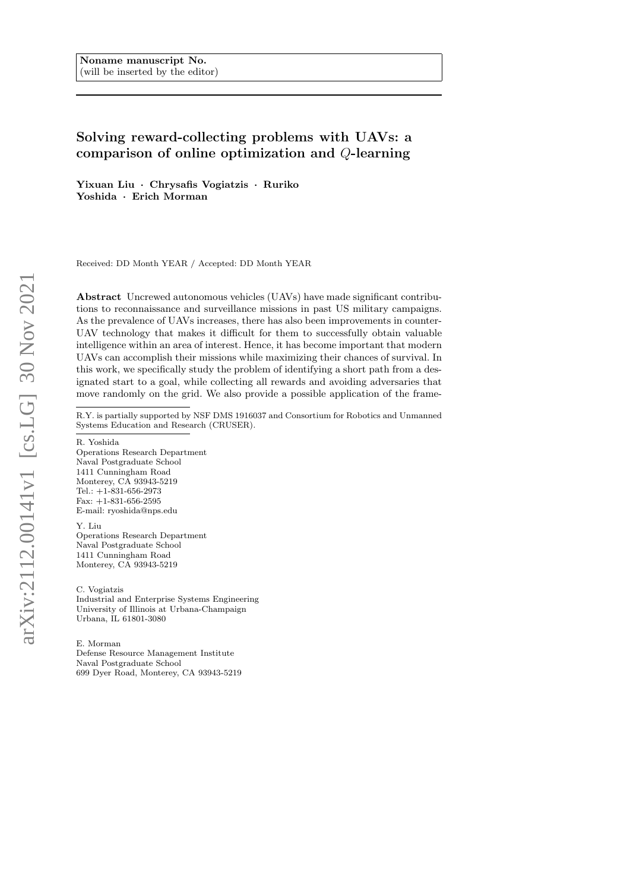# Solving reward-collecting problems with UAVs: a comparison of online optimization and Q-learning

Yixuan Liu · Chrysafis Vogiatzis · Ruriko Yoshida · Erich Morman

Received: DD Month YEAR / Accepted: DD Month YEAR

Abstract Uncrewed autonomous vehicles (UAVs) have made significant contributions to reconnaissance and surveillance missions in past US military campaigns. As the prevalence of UAVs increases, there has also been improvements in counter-UAV technology that makes it difficult for them to successfully obtain valuable intelligence within an area of interest. Hence, it has become important that modern UAVs can accomplish their missions while maximizing their chances of survival. In this work, we specifically study the problem of identifying a short path from a designated start to a goal, while collecting all rewards and avoiding adversaries that move randomly on the grid. We also provide a possible application of the frame-

R.Y. is partially supported by NSF DMS 1916037 and Consortium for Robotics and Unmanned Systems Education and Research (CRUSER).

R. Yoshida

Operations Research Department Naval Postgraduate School 1411 Cunningham Road Monterey, CA 93943-5219 Tel.: +1-831-656-2973 Fax: +1-831-656-2595 E-mail: ryoshida@nps.edu

Y. Liu Operations Research Department Naval Postgraduate School 1411 Cunningham Road Monterey, CA 93943-5219

C. Vogiatzis Industrial and Enterprise Systems Engineering University of Illinois at Urbana-Champaign Urbana, IL 61801-3080

E. Morman Defense Resource Management Institute Naval Postgraduate School 699 Dyer Road, Monterey, CA 93943-5219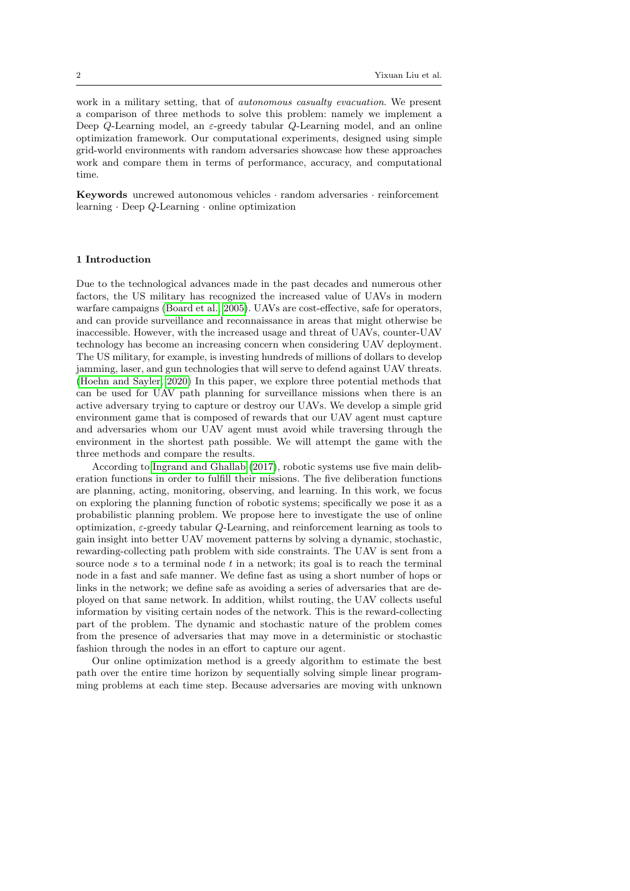work in a military setting, that of autonomous casualty evacuation. We present a comparison of three methods to solve this problem: namely we implement a Deep Q-Learning model, an  $\varepsilon$ -greedy tabular Q-Learning model, and an online optimization framework. Our computational experiments, designed using simple grid-world environments with random adversaries showcase how these approaches work and compare them in terms of performance, accuracy, and computational time.

Keywords uncrewed autonomous vehicles · random adversaries · reinforcement learning  $\cdot$  Deep  $Q$ -Learning  $\cdot$  online optimization

# 1 Introduction

Due to the technological advances made in the past decades and numerous other factors, the US military has recognized the increased value of UAVs in modern warfare campaigns [\(Board et al., 2005\)](#page-21-0). UAVs are cost-effective, safe for operators, and can provide surveillance and reconnaissance in areas that might otherwise be inaccessible. However, with the increased usage and threat of UAVs, counter-UAV technology has become an increasing concern when considering UAV deployment. The US military, for example, is investing hundreds of millions of dollars to develop jamming, laser, and gun technologies that will serve to defend against UAV threats. [\(Hoehn and Sayler, 2020\)](#page-22-0) In this paper, we explore three potential methods that can be used for UAV path planning for surveillance missions when there is an active adversary trying to capture or destroy our UAVs. We develop a simple grid environment game that is composed of rewards that our UAV agent must capture and adversaries whom our UAV agent must avoid while traversing through the environment in the shortest path possible. We will attempt the game with the three methods and compare the results.

According to [Ingrand and Ghallab](#page-22-1) [\(2017\)](#page-22-1), robotic systems use five main deliberation functions in order to fulfill their missions. The five deliberation functions are planning, acting, monitoring, observing, and learning. In this work, we focus on exploring the planning function of robotic systems; specifically we pose it as a probabilistic planning problem. We propose here to investigate the use of online optimization,  $\varepsilon$ -greedy tabular Q-Learning, and reinforcement learning as tools to gain insight into better UAV movement patterns by solving a dynamic, stochastic, rewarding-collecting path problem with side constraints. The UAV is sent from a source node s to a terminal node t in a network; its goal is to reach the terminal node in a fast and safe manner. We define fast as using a short number of hops or links in the network; we define safe as avoiding a series of adversaries that are deployed on that same network. In addition, whilst routing, the UAV collects useful information by visiting certain nodes of the network. This is the reward-collecting part of the problem. The dynamic and stochastic nature of the problem comes from the presence of adversaries that may move in a deterministic or stochastic fashion through the nodes in an effort to capture our agent.

Our online optimization method is a greedy algorithm to estimate the best path over the entire time horizon by sequentially solving simple linear programming problems at each time step. Because adversaries are moving with unknown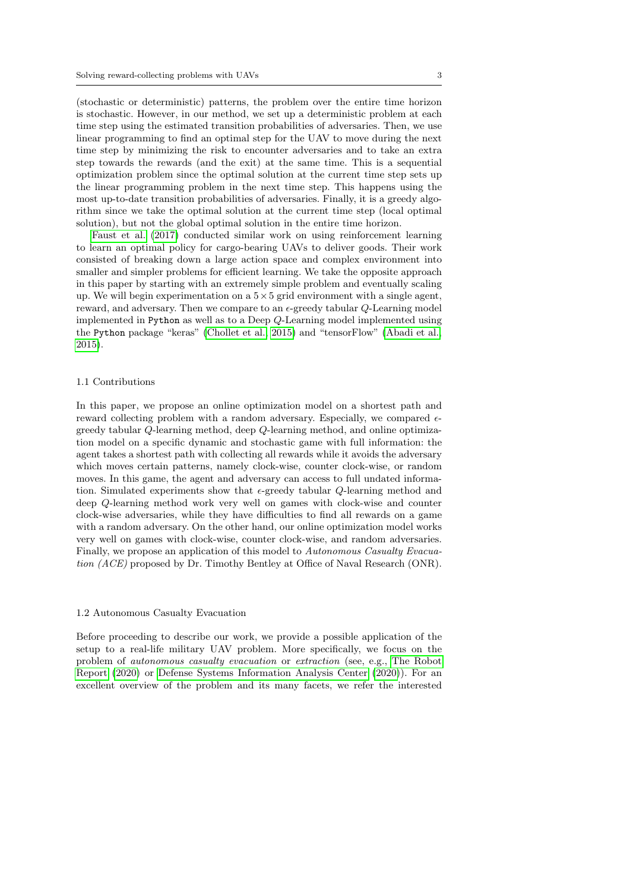(stochastic or deterministic) patterns, the problem over the entire time horizon is stochastic. However, in our method, we set up a deterministic problem at each time step using the estimated transition probabilities of adversaries. Then, we use linear programming to find an optimal step for the UAV to move during the next time step by minimizing the risk to encounter adversaries and to take an extra step towards the rewards (and the exit) at the same time. This is a sequential optimization problem since the optimal solution at the current time step sets up the linear programming problem in the next time step. This happens using the most up-to-date transition probabilities of adversaries. Finally, it is a greedy algorithm since we take the optimal solution at the current time step (local optimal solution), but not the global optimal solution in the entire time horizon.

[Faust et al.](#page-22-2) [\(2017\)](#page-22-2) conducted similar work on using reinforcement learning to learn an optimal policy for cargo-bearing UAVs to deliver goods. Their work consisted of breaking down a large action space and complex environment into smaller and simpler problems for efficient learning. We take the opposite approach in this paper by starting with an extremely simple problem and eventually scaling up. We will begin experimentation on a  $5 \times 5$  grid environment with a single agent, reward, and adversary. Then we compare to an  $\epsilon$ -greedy tabular  $Q$ -Learning model implemented in Python as well as to a Deep Q-Learning model implemented using the Python package "keras" [\(Chollet et al., 2015\)](#page-22-3) and "tensorFlow" [\(Abadi et al.,](#page-21-1) [2015\)](#page-21-1).

# 1.1 Contributions

In this paper, we propose an online optimization model on a shortest path and reward collecting problem with a random adversary. Especially, we compared  $\epsilon$ greedy tabular Q-learning method, deep Q-learning method, and online optimization model on a specific dynamic and stochastic game with full information: the agent takes a shortest path with collecting all rewards while it avoids the adversary which moves certain patterns, namely clock-wise, counter clock-wise, or random moves. In this game, the agent and adversary can access to full undated information. Simulated experiments show that  $\epsilon$ -greedy tabular Q-learning method and deep Q-learning method work very well on games with clock-wise and counter clock-wise adversaries, while they have difficulties to find all rewards on a game with a random adversary. On the other hand, our online optimization model works very well on games with clock-wise, counter clock-wise, and random adversaries. Finally, we propose an application of this model to Autonomous Casualty Evacuation (ACE) proposed by Dr. Timothy Bentley at Office of Naval Research (ONR).

## 1.2 Autonomous Casualty Evacuation

Before proceeding to describe our work, we provide a possible application of the setup to a real-life military UAV problem. More specifically, we focus on the problem of autonomous casualty evacuation or extraction (see, e.g., [The Robot](#page-23-0) [Report](#page-23-0) [\(2020\)](#page-23-0) or [Defense Systems Information Analysis Center](#page-22-4) [\(2020\)](#page-22-4)). For an excellent overview of the problem and its many facets, we refer the interested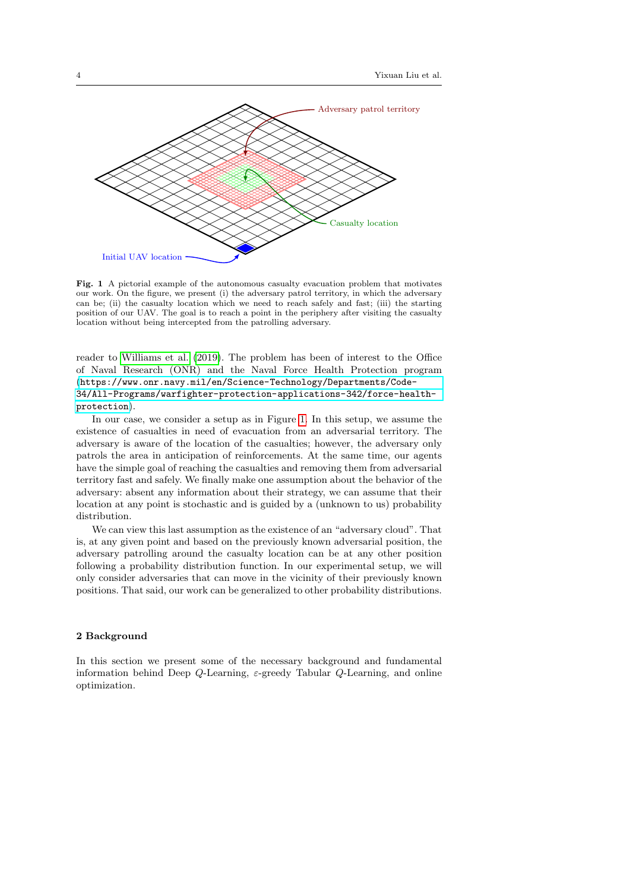

<span id="page-3-0"></span>Fig. 1 A pictorial example of the autonomous casualty evacuation problem that motivates our work. On the figure, we present (i) the adversary patrol territory, in which the adversary can be; (ii) the casualty location which we need to reach safely and fast; (iii) the starting position of our UAV. The goal is to reach a point in the periphery after visiting the casualty location without being intercepted from the patrolling adversary.

reader to [Williams et al.](#page-23-1) [\(2019\)](#page-23-1). The problem has been of interest to the Office of Naval Research (ONR) and the Naval Force Health Protection program ([https://www.onr.navy.mil/en/Science-Technology/Departments/Code-](https://www.onr.navy.mil/en/Science-Technology/Departments/Code-34/All-Programs/warfighter-protection-applications-342/force-health-protection)[34/All-Programs/warfighter-protection-applications-342/force-health](https://www.onr.navy.mil/en/Science-Technology/Departments/Code-34/All-Programs/warfighter-protection-applications-342/force-health-protection)[protection](https://www.onr.navy.mil/en/Science-Technology/Departments/Code-34/All-Programs/warfighter-protection-applications-342/force-health-protection)).

In our case, we consider a setup as in Figure [1.](#page-3-0) In this setup, we assume the existence of casualties in need of evacuation from an adversarial territory. The adversary is aware of the location of the casualties; however, the adversary only patrols the area in anticipation of reinforcements. At the same time, our agents have the simple goal of reaching the casualties and removing them from adversarial territory fast and safely. We finally make one assumption about the behavior of the adversary: absent any information about their strategy, we can assume that their location at any point is stochastic and is guided by a (unknown to us) probability distribution.

We can view this last assumption as the existence of an "adversary cloud". That is, at any given point and based on the previously known adversarial position, the adversary patrolling around the casualty location can be at any other position following a probability distribution function. In our experimental setup, we will only consider adversaries that can move in the vicinity of their previously known positions. That said, our work can be generalized to other probability distributions.

## 2 Background

In this section we present some of the necessary background and fundamental information behind Deep Q-Learning,  $\varepsilon$ -greedy Tabular Q-Learning, and online optimization.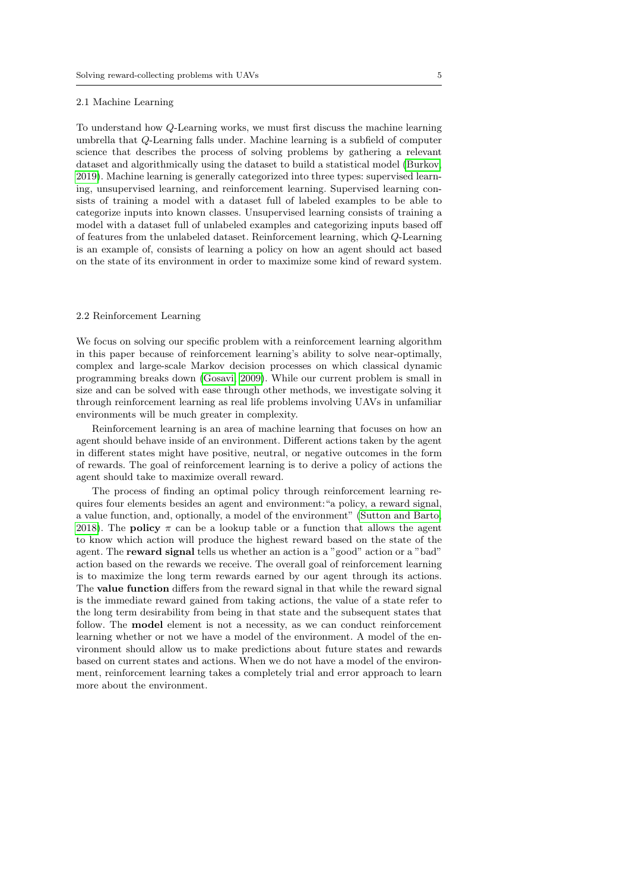#### 2.1 Machine Learning

To understand how Q-Learning works, we must first discuss the machine learning umbrella that Q-Learning falls under. Machine learning is a subfield of computer science that describes the process of solving problems by gathering a relevant dataset and algorithmically using the dataset to build a statistical model [\(Burkov,](#page-22-5) [2019\)](#page-22-5). Machine learning is generally categorized into three types: supervised learning, unsupervised learning, and reinforcement learning. Supervised learning consists of training a model with a dataset full of labeled examples to be able to categorize inputs into known classes. Unsupervised learning consists of training a model with a dataset full of unlabeled examples and categorizing inputs based off of features from the unlabeled dataset. Reinforcement learning, which Q-Learning is an example of, consists of learning a policy on how an agent should act based on the state of its environment in order to maximize some kind of reward system.

#### 2.2 Reinforcement Learning

We focus on solving our specific problem with a reinforcement learning algorithm in this paper because of reinforcement learning's ability to solve near-optimally, complex and large-scale Markov decision processes on which classical dynamic programming breaks down [\(Gosavi, 2009\)](#page-22-6). While our current problem is small in size and can be solved with ease through other methods, we investigate solving it through reinforcement learning as real life problems involving UAVs in unfamiliar environments will be much greater in complexity.

Reinforcement learning is an area of machine learning that focuses on how an agent should behave inside of an environment. Different actions taken by the agent in different states might have positive, neutral, or negative outcomes in the form of rewards. The goal of reinforcement learning is to derive a policy of actions the agent should take to maximize overall reward.

The process of finding an optimal policy through reinforcement learning requires four elements besides an agent and environment:"a policy, a reward signal, a value function, and, optionally, a model of the environment" [\(Sutton and Barto,](#page-23-2) [2018\)](#page-23-2). The **policy**  $\pi$  can be a lookup table or a function that allows the agent to know which action will produce the highest reward based on the state of the agent. The reward signal tells us whether an action is a "good" action or a "bad" action based on the rewards we receive. The overall goal of reinforcement learning is to maximize the long term rewards earned by our agent through its actions. The value function differs from the reward signal in that while the reward signal is the immediate reward gained from taking actions, the value of a state refer to the long term desirability from being in that state and the subsequent states that follow. The model element is not a necessity, as we can conduct reinforcement learning whether or not we have a model of the environment. A model of the environment should allow us to make predictions about future states and rewards based on current states and actions. When we do not have a model of the environment, reinforcement learning takes a completely trial and error approach to learn more about the environment.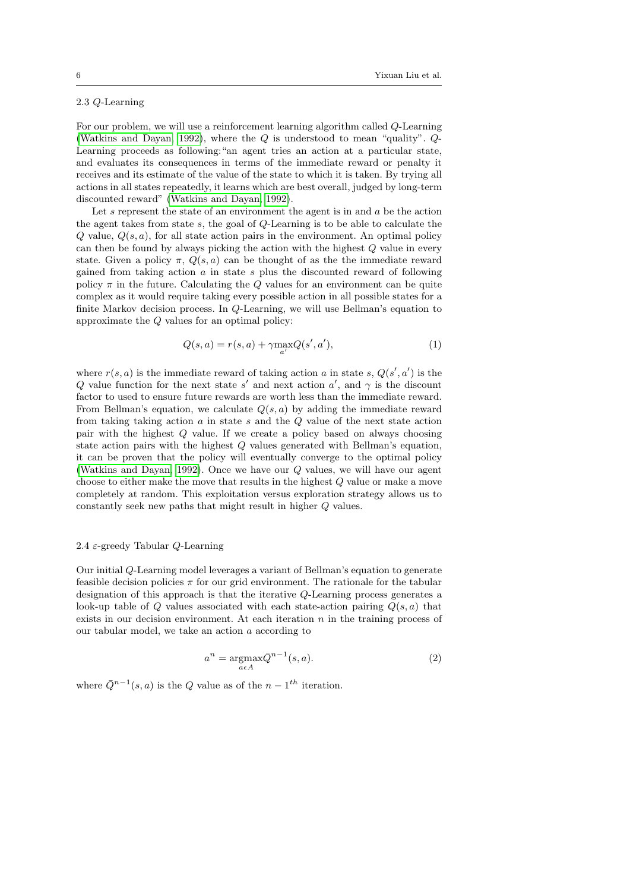# 2.3 Q-Learning

For our problem, we will use a reinforcement learning algorithm called Q-Learning [\(Watkins and Dayan, 1992\)](#page-23-3), where the Q is understood to mean "quality". Q-Learning proceeds as following:"an agent tries an action at a particular state, and evaluates its consequences in terms of the immediate reward or penalty it receives and its estimate of the value of the state to which it is taken. By trying all actions in all states repeatedly, it learns which are best overall, judged by long-term discounted reward" [\(Watkins and Dayan, 1992\)](#page-23-3).

Let  $s$  represent the state of an environment the agent is in and  $a$  be the action the agent takes from state s, the goal of Q-Learning is to be able to calculate the  $Q$  value,  $Q(s, a)$ , for all state action pairs in the environment. An optimal policy can then be found by always picking the action with the highest Q value in every state. Given a policy  $\pi$ ,  $Q(s, a)$  can be thought of as the the immediate reward gained from taking action  $\alpha$  in state  $s$  plus the discounted reward of following policy  $\pi$  in the future. Calculating the Q values for an environment can be quite complex as it would require taking every possible action in all possible states for a finite Markov decision process. In Q-Learning, we will use Bellman's equation to approximate the Q values for an optimal policy:

<span id="page-5-0"></span>
$$
Q(s,a) = r(s,a) + \gamma \max_{a'} Q(s',a'),\tag{1}
$$

where  $r(s, a)$  is the immediate reward of taking action a in state s,  $Q(s', a')$  is the Q value function for the next state s' and next action a', and  $\gamma$  is the discount factor to used to ensure future rewards are worth less than the immediate reward. From Bellman's equation, we calculate  $Q(s, a)$  by adding the immediate reward from taking taking action  $a$  in state  $s$  and the  $Q$  value of the next state action pair with the highest Q value. If we create a policy based on always choosing state action pairs with the highest Q values generated with Bellman's equation, it can be proven that the policy will eventually converge to the optimal policy [\(Watkins and Dayan, 1992\)](#page-23-3). Once we have our Q values, we will have our agent choose to either make the move that results in the highest Q value or make a move completely at random. This exploitation versus exploration strategy allows us to constantly seek new paths that might result in higher Q values.

#### 2.4  $\varepsilon$ -greedy Tabular Q-Learning

Our initial Q-Learning model leverages a variant of Bellman's equation to generate feasible decision policies  $\pi$  for our grid environment. The rationale for the tabular designation of this approach is that the iterative Q-Learning process generates a look-up table of Q values associated with each state-action pairing  $Q(s, a)$  that exists in our decision environment. At each iteration  $n$  in the training process of our tabular model, we take an action a according to

$$
a^n = \underset{a \in A}{\operatorname{argmax}} \bar{Q}^{n-1}(s, a). \tag{2}
$$

<span id="page-5-1"></span>where  $\overline{Q}^{n-1}(s, a)$  is the  $Q$  value as of the  $n-1$ <sup>th</sup> iteration.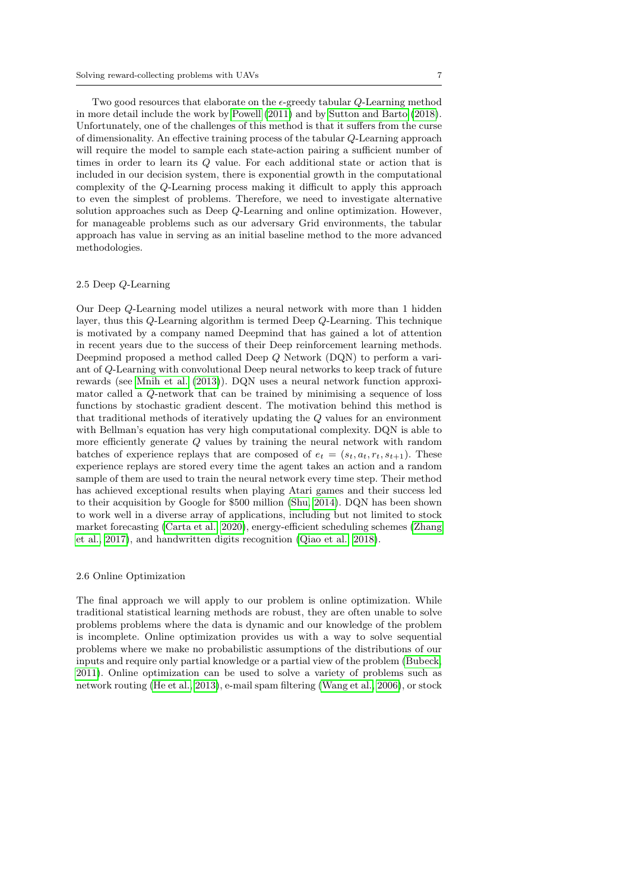Two good resources that elaborate on the  $\epsilon$ -greedy tabular  $Q$ -Learning method in more detail include the work by [Powell](#page-22-7) [\(2011\)](#page-22-7) and by [Sutton and Barto](#page-23-2) [\(2018\)](#page-23-2). Unfortunately, one of the challenges of this method is that it suffers from the curse of dimensionality. An effective training process of the tabular Q-Learning approach will require the model to sample each state-action pairing a sufficient number of times in order to learn its Q value. For each additional state or action that is included in our decision system, there is exponential growth in the computational complexity of the Q-Learning process making it difficult to apply this approach to even the simplest of problems. Therefore, we need to investigate alternative solution approaches such as Deep Q-Learning and online optimization. However, for manageable problems such as our adversary Grid environments, the tabular approach has value in serving as an initial baseline method to the more advanced methodologies.

## 2.5 Deep Q-Learning

Our Deep Q-Learning model utilizes a neural network with more than 1 hidden layer, thus this Q-Learning algorithm is termed Deep Q-Learning. This technique is motivated by a company named Deepmind that has gained a lot of attention in recent years due to the success of their Deep reinforcement learning methods. Deepmind proposed a method called Deep Q Network (DQN) to perform a variant of Q-Learning with convolutional Deep neural networks to keep track of future rewards (see [Mnih et al.](#page-22-8) [\(2013\)](#page-22-8)). DQN uses a neural network function approximator called a Q-network that can be trained by minimising a sequence of loss functions by stochastic gradient descent. The motivation behind this method is that traditional methods of iteratively updating the Q values for an environment with Bellman's equation has very high computational complexity. DQN is able to more efficiently generate Q values by training the neural network with random batches of experience replays that are composed of  $e_t = (s_t, a_t, r_t, s_{t+1})$ . These experience replays are stored every time the agent takes an action and a random sample of them are used to train the neural network every time step. Their method has achieved exceptional results when playing Atari games and their success led to their acquisition by Google for \$500 million [\(Shu, 2014\)](#page-23-4). DQN has been shown to work well in a diverse array of applications, including but not limited to stock market forecasting [\(Carta et al., 2020\)](#page-22-9), energy-efficient scheduling schemes [\(Zhang](#page-23-5) [et al., 2017\)](#page-23-5), and handwritten digits recognition [\(Qiao et al., 2018\)](#page-22-10).

## 2.6 Online Optimization

The final approach we will apply to our problem is online optimization. While traditional statistical learning methods are robust, they are often unable to solve problems problems where the data is dynamic and our knowledge of the problem is incomplete. Online optimization provides us with a way to solve sequential problems where we make no probabilistic assumptions of the distributions of our inputs and require only partial knowledge or a partial view of the problem [\(Bubeck,](#page-22-11) [2011\)](#page-22-11). Online optimization can be used to solve a variety of problems such as network routing [\(He et al., 2013\)](#page-22-12), e-mail spam filtering [\(Wang et al., 2006\)](#page-23-6), or stock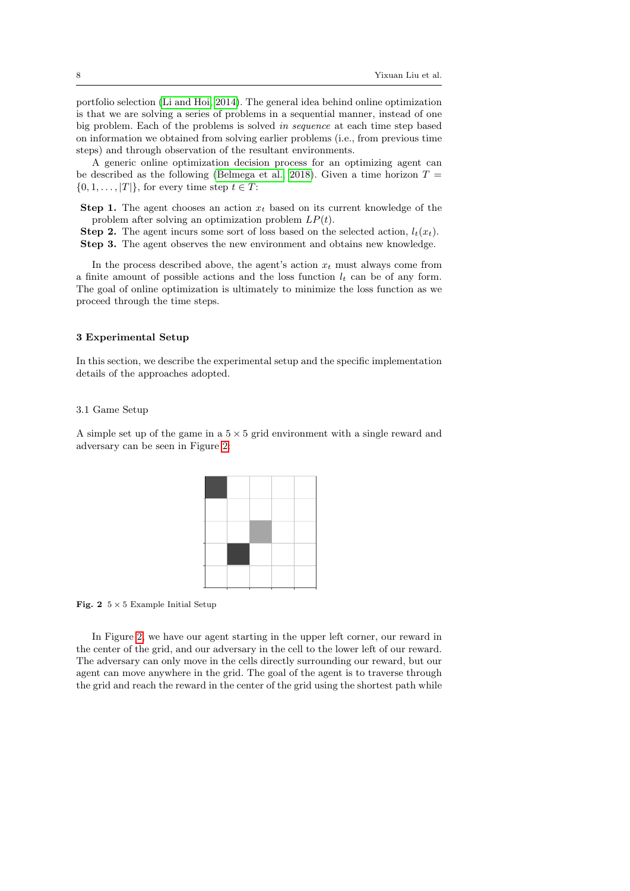portfolio selection [\(Li and Hoi, 2014\)](#page-22-13). The general idea behind online optimization is that we are solving a series of problems in a sequential manner, instead of one big problem. Each of the problems is solved in sequence at each time step based on information we obtained from solving earlier problems (i.e., from previous time steps) and through observation of the resultant environments.

A generic online optimization decision process for an optimizing agent can be described as the following [\(Belmega et al., 2018\)](#page-21-2). Given a time horizon  $T =$  $\{0, 1, \ldots, |T|\}$ , for every time step  $t \in T$ :

- **Step 1.** The agent chooses an action  $x_t$  based on its current knowledge of the problem after solving an optimization problem  $LP(t)$ .
- **Step 2.** The agent incurs some sort of loss based on the selected action,  $l_t(x_t)$ . Step 3. The agent observes the new environment and obtains new knowledge.

In the process described above, the agent's action  $x_t$  must always come from a finite amount of possible actions and the loss function  $l_t$  can be of any form. The goal of online optimization is ultimately to minimize the loss function as we proceed through the time steps.

#### 3 Experimental Setup

In this section, we describe the experimental setup and the specific implementation details of the approaches adopted.

### 3.1 Game Setup

A simple set up of the game in a  $5 \times 5$  grid environment with a single reward and adversary can be seen in Figure [2:](#page-7-0)

<span id="page-7-0"></span>Fig. 2  $5 \times 5$  Example Initial Setup

In Figure [2,](#page-7-0) we have our agent starting in the upper left corner, our reward in the center of the grid, and our adversary in the cell to the lower left of our reward. The adversary can only move in the cells directly surrounding our reward, but our agent can move anywhere in the grid. The goal of the agent is to traverse through the grid and reach the reward in the center of the grid using the shortest path while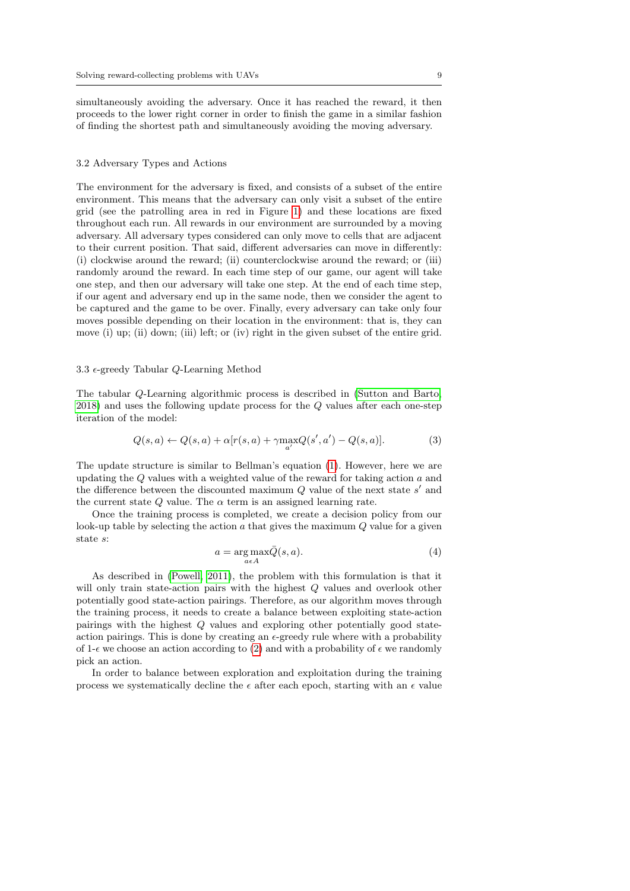simultaneously avoiding the adversary. Once it has reached the reward, it then proceeds to the lower right corner in order to finish the game in a similar fashion of finding the shortest path and simultaneously avoiding the moving adversary.

#### 3.2 Adversary Types and Actions

The environment for the adversary is fixed, and consists of a subset of the entire environment. This means that the adversary can only visit a subset of the entire grid (see the patrolling area in red in Figure [1\)](#page-3-0) and these locations are fixed throughout each run. All rewards in our environment are surrounded by a moving adversary. All adversary types considered can only move to cells that are adjacent to their current position. That said, different adversaries can move in differently: (i) clockwise around the reward; (ii) counterclockwise around the reward; or (iii) randomly around the reward. In each time step of our game, our agent will take one step, and then our adversary will take one step. At the end of each time step, if our agent and adversary end up in the same node, then we consider the agent to be captured and the game to be over. Finally, every adversary can take only four moves possible depending on their location in the environment: that is, they can move (i) up; (ii) down; (iii) left; or (iv) right in the given subset of the entire grid.

#### 3.3  $\epsilon$ -greedy Tabular Q-Learning Method

The tabular Q-Learning algorithmic process is described in [\(Sutton and Barto,](#page-23-2) [2018\)](#page-23-2) and uses the following update process for the Q values after each one-step iteration of the model:

$$
Q(s,a) \leftarrow Q(s,a) + \alpha [r(s,a) + \gamma \max_{a'} Q(s',a') - Q(s,a)]. \tag{3}
$$

The update structure is similar to Bellman's equation [\(1\)](#page-5-0). However, here we are updating the  $Q$  values with a weighted value of the reward for taking action  $a$  and the difference between the discounted maximum  $Q$  value of the next state  $s'$  and the current state  $Q$  value. The  $\alpha$  term is an assigned learning rate.

Once the training process is completed, we create a decision policy from our look-up table by selecting the action  $a$  that gives the maximum  $Q$  value for a given state s:

$$
a = \underset{a \in A}{\arg \max} \bar{Q}(s, a). \tag{4}
$$

As described in [\(Powell, 2011\)](#page-22-7), the problem with this formulation is that it will only train state-action pairs with the highest Q values and overlook other potentially good state-action pairings. Therefore, as our algorithm moves through the training process, it needs to create a balance between exploiting state-action pairings with the highest Q values and exploring other potentially good stateaction pairings. This is done by creating an  $\epsilon$ -greedy rule where with a probability of 1- $\epsilon$  we choose an action according to [\(2\)](#page-5-1) and with a probability of  $\epsilon$  we randomly pick an action.

In order to balance between exploration and exploitation during the training process we systematically decline the  $\epsilon$  after each epoch, starting with an  $\epsilon$  value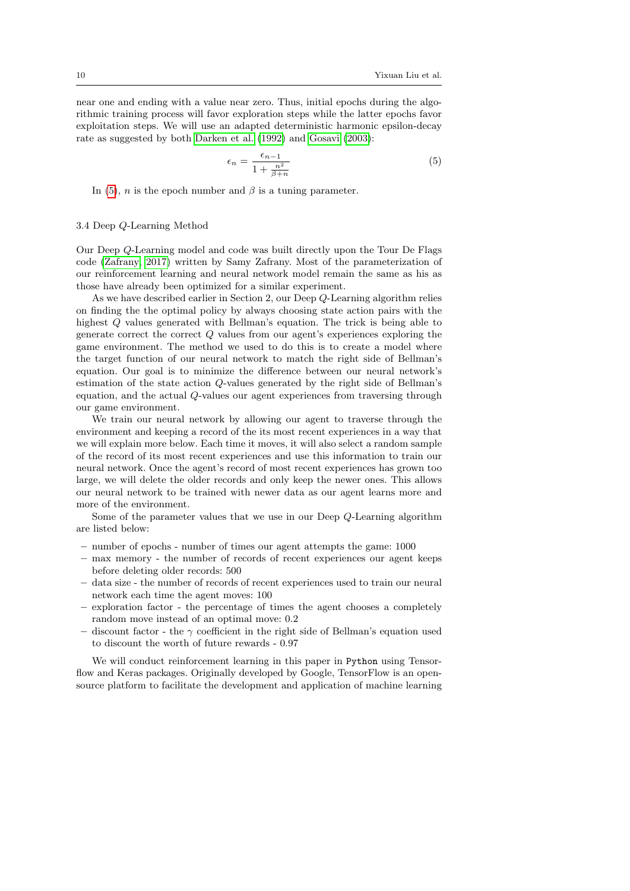near one and ending with a value near zero. Thus, initial epochs during the algorithmic training process will favor exploration steps while the latter epochs favor exploitation steps. We will use an adapted deterministic harmonic epsilon-decay rate as suggested by both [Darken et al.](#page-22-14) [\(1992\)](#page-22-14) and [Gosavi](#page-22-15) [\(2003\)](#page-22-15):

<span id="page-9-0"></span>
$$
\epsilon_n = \frac{\epsilon_{n-1}}{1 + \frac{n^2}{\beta + n}}\tag{5}
$$

In [\(5\)](#page-9-0), *n* is the epoch number and  $\beta$  is a tuning parameter.

#### 3.4 Deep Q-Learning Method

Our Deep Q-Learning model and code was built directly upon the Tour De Flags code [\(Zafrany, 2017\)](#page-23-7) written by Samy Zafrany. Most of the parameterization of our reinforcement learning and neural network model remain the same as his as those have already been optimized for a similar experiment.

As we have described earlier in Section 2, our Deep Q-Learning algorithm relies on finding the the optimal policy by always choosing state action pairs with the highest Q values generated with Bellman's equation. The trick is being able to generate correct the correct  $Q$  values from our agent's experiences exploring the game environment. The method we used to do this is to create a model where the target function of our neural network to match the right side of Bellman's equation. Our goal is to minimize the difference between our neural network's estimation of the state action Q-values generated by the right side of Bellman's equation, and the actual Q-values our agent experiences from traversing through our game environment.

We train our neural network by allowing our agent to traverse through the environment and keeping a record of the its most recent experiences in a way that we will explain more below. Each time it moves, it will also select a random sample of the record of its most recent experiences and use this information to train our neural network. Once the agent's record of most recent experiences has grown too large, we will delete the older records and only keep the newer ones. This allows our neural network to be trained with newer data as our agent learns more and more of the environment.

Some of the parameter values that we use in our Deep Q-Learning algorithm are listed below:

- number of epochs number of times our agent attempts the game: 1000
- max memory the number of records of recent experiences our agent keeps before deleting older records: 500
- data size the number of records of recent experiences used to train our neural network each time the agent moves: 100
- exploration factor the percentage of times the agent chooses a completely random move instead of an optimal move: 0.2
- discount factor the  $\gamma$  coefficient in the right side of Bellman's equation used to discount the worth of future rewards - 0.97

We will conduct reinforcement learning in this paper in Python using Tensorflow and Keras packages. Originally developed by Google, TensorFlow is an opensource platform to facilitate the development and application of machine learning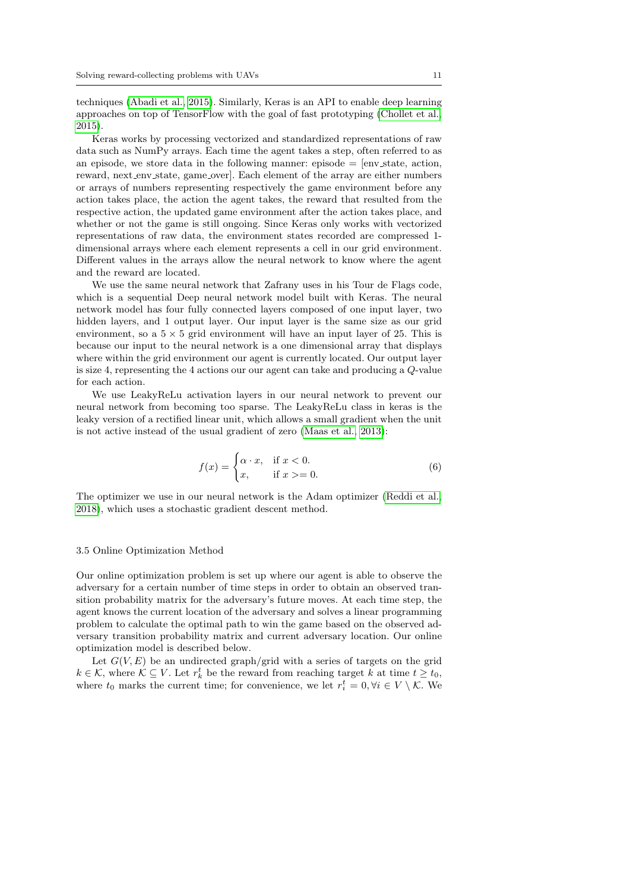techniques [\(Abadi et al., 2015\)](#page-21-1). Similarly, Keras is an API to enable deep learning approaches on top of TensorFlow with the goal of fast prototyping [\(Chollet et al.,](#page-22-3) [2015\)](#page-22-3).

Keras works by processing vectorized and standardized representations of raw data such as NumPy arrays. Each time the agent takes a step, often referred to as an episode, we store data in the following manner: episode  $=$  [env\_state, action, reward, next env state, game over]. Each element of the array are either numbers or arrays of numbers representing respectively the game environment before any action takes place, the action the agent takes, the reward that resulted from the respective action, the updated game environment after the action takes place, and whether or not the game is still ongoing. Since Keras only works with vectorized representations of raw data, the environment states recorded are compressed 1 dimensional arrays where each element represents a cell in our grid environment. Different values in the arrays allow the neural network to know where the agent and the reward are located.

We use the same neural network that Zafrany uses in his Tour de Flags code. which is a sequential Deep neural network model built with Keras. The neural network model has four fully connected layers composed of one input layer, two hidden layers, and 1 output layer. Our input layer is the same size as our grid environment, so a  $5 \times 5$  grid environment will have an input layer of 25. This is because our input to the neural network is a one dimensional array that displays where within the grid environment our agent is currently located. Our output layer is size 4, representing the 4 actions our our agent can take and producing a Q-value for each action.

We use LeakyReLu activation layers in our neural network to prevent our neural network from becoming too sparse. The LeakyReLu class in keras is the leaky version of a rectified linear unit, which allows a small gradient when the unit is not active instead of the usual gradient of zero [\(Maas et al., 2013\)](#page-22-16):

$$
f(x) = \begin{cases} \alpha \cdot x, & \text{if } x < 0. \\ x, & \text{if } x > = 0. \end{cases}
$$
 (6)

The optimizer we use in our neural network is the Adam optimizer [\(Reddi et al.,](#page-23-8) [2018\)](#page-23-8), which uses a stochastic gradient descent method.

#### 3.5 Online Optimization Method

Our online optimization problem is set up where our agent is able to observe the adversary for a certain number of time steps in order to obtain an observed transition probability matrix for the adversary's future moves. At each time step, the agent knows the current location of the adversary and solves a linear programming problem to calculate the optimal path to win the game based on the observed adversary transition probability matrix and current adversary location. Our online optimization model is described below.

Let  $G(V, E)$  be an undirected graph/grid with a series of targets on the grid  $k \in \mathcal{K}$ , where  $\mathcal{K} \subseteq V$ . Let  $r_k^t$  be the reward from reaching target k at time  $t \geq t_0$ , where  $t_0$  marks the current time; for convenience, we let  $r_i^t = 0, \forall i \in V \setminus \mathcal{K}$ . We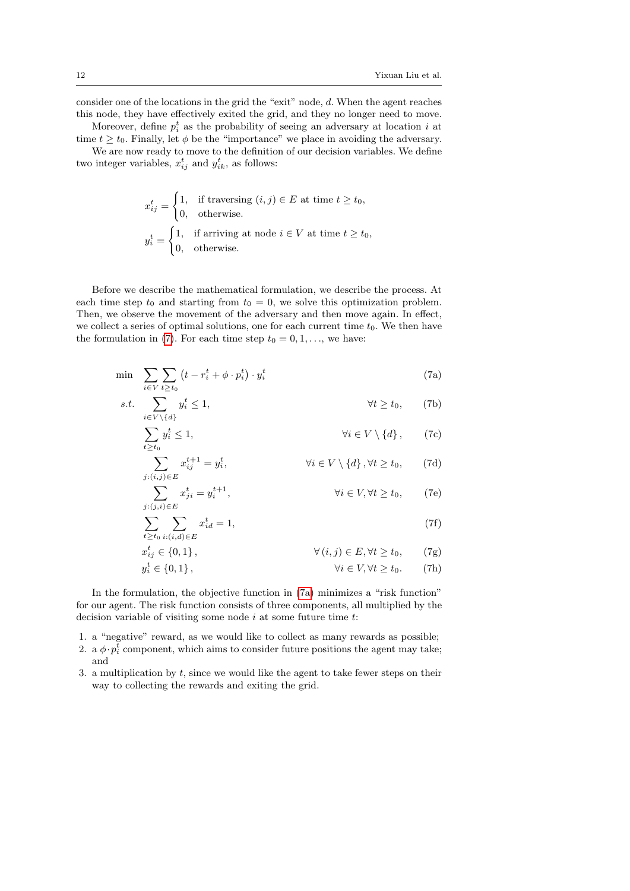consider one of the locations in the grid the "exit" node, d. When the agent reaches this node, they have effectively exited the grid, and they no longer need to move.

Moreover, define  $p_i^t$  as the probability of seeing an adversary at location i at time  $t \geq t_0$ . Finally, let  $\phi$  be the "importance" we place in avoiding the adversary.

We are now ready to move to the definition of our decision variables. We define two integer variables,  $x_{ij}^t$  and  $y_{ik}^t$ , as follows:

$$
x_{ij}^t = \begin{cases} 1, & \text{if traversing } (i,j) \in E \text{ at time } t \ge t_0, \\ 0, & \text{otherwise.} \end{cases}
$$
  

$$
y_i^t = \begin{cases} 1, & \text{if arriving at node } i \in V \text{ at time } t \ge t_0, \\ 0, & \text{otherwise.} \end{cases}
$$

Before we describe the mathematical formulation, we describe the process. At each time step  $t_0$  and starting from  $t_0 = 0$ , we solve this optimization problem. Then, we observe the movement of the adversary and then move again. In effect, we collect a series of optimal solutions, one for each current time  $t_0$ . We then have the formulation in [\(7\)](#page-11-0). For each time step  $t_0 = 0, 1, \ldots$ , we have:

<span id="page-11-0"></span>
$$
\min \sum_{i \in V} \sum_{t \ge t_0} \left( t - r_i^t + \phi \cdot p_i^t \right) \cdot y_i^t \tag{7a}
$$

s.t. 
$$
\sum_{i \in V \setminus \{d\}} y_i^t \le 1, \qquad \forall t \ge t_0, \qquad (7b)
$$

<span id="page-11-2"></span><span id="page-11-1"></span>
$$
\sum_{t \ge t_0} y_i^t \le 1, \qquad \forall i \in V \setminus \{d\}, \qquad (7c)
$$

<span id="page-11-4"></span><span id="page-11-3"></span>
$$
\sum_{j:(i,j)\in E} x_{ij}^{t+1} = y_i^t, \qquad \forall i \in V \setminus \{d\}, \forall t \ge t_0, \qquad (7d)
$$

<span id="page-11-5"></span>
$$
\sum_{j:(j,i)\in E} x_{ji}^t = y_i^{t+1}, \qquad \forall i \in V, \forall t \ge t_0, \qquad (7e)
$$

<span id="page-11-7"></span><span id="page-11-6"></span>
$$
\sum_{t \ge t_0} \sum_{i:(i,d) \in E} x_{id}^t = 1,\tag{7f}
$$

<span id="page-11-8"></span>
$$
x_{ij}^t \in \{0, 1\}, \qquad \forall (i, j) \in E, \forall t \ge t_0, \qquad (7g)
$$
  

$$
y_i^t \in \{0, 1\}, \qquad \forall i \in V, \forall t \ge t_0. \qquad (7h)
$$

In the formulation, the objective function in [\(7a\)](#page-11-1) minimizes a "risk function" for our agent. The risk function consists of three components, all multiplied by the decision variable of visiting some node  $i$  at some future time  $t$ :

1. a "negative" reward, as we would like to collect as many rewards as possible;

- 2. a  $\phi \cdot p_i^t$  component, which aims to consider future positions the agent may take; and
- 3. a multiplication by  $t$ , since we would like the agent to take fewer steps on their way to collecting the rewards and exiting the grid.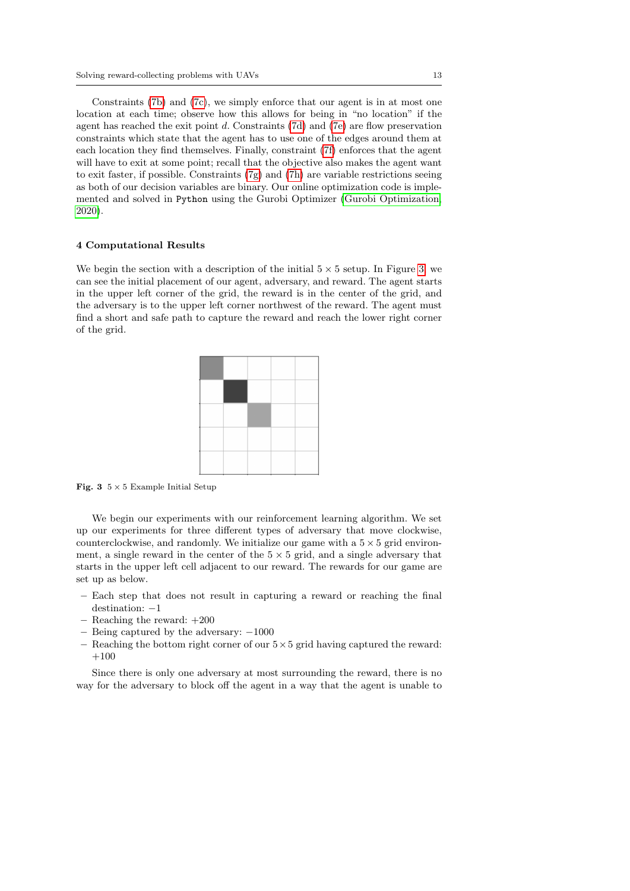Constraints [\(7b\)](#page-11-2) and [\(7c\)](#page-11-3), we simply enforce that our agent is in at most one location at each time; observe how this allows for being in "no location" if the agent has reached the exit point  $d$ . Constraints [\(7d\)](#page-11-4) and [\(7e\)](#page-11-5) are flow preservation constraints which state that the agent has to use one of the edges around them at each location they find themselves. Finally, constraint [\(7f\)](#page-11-6) enforces that the agent will have to exit at some point; recall that the objective also makes the agent want to exit faster, if possible. Constraints  $(7g)$  and  $(7h)$  are variable restrictions seeing as both of our decision variables are binary. Our online optimization code is implemented and solved in Python using the Gurobi Optimizer [\(Gurobi Optimization,](#page-22-17) [2020\)](#page-22-17).

#### 4 Computational Results

We begin the section with a description of the initial  $5 \times 5$  setup. In Figure [3,](#page-12-0) we can see the initial placement of our agent, adversary, and reward. The agent starts in the upper left corner of the grid, the reward is in the center of the grid, and the adversary is to the upper left corner northwest of the reward. The agent must find a short and safe path to capture the reward and reach the lower right corner of the grid.



<span id="page-12-0"></span>Fig. 3  $5 \times 5$  Example Initial Setup

We begin our experiments with our reinforcement learning algorithm. We set up our experiments for three different types of adversary that move clockwise, counterclockwise, and randomly. We initialize our game with a  $5 \times 5$  grid environment, a single reward in the center of the  $5 \times 5$  grid, and a single adversary that starts in the upper left cell adjacent to our reward. The rewards for our game are set up as below.

- Each step that does not result in capturing a reward or reaching the final destination: −1
- Reaching the reward: +200
- Being captured by the adversary: −1000
- Reaching the bottom right corner of our  $5 \times 5$  grid having captured the reward:  $+100$

Since there is only one adversary at most surrounding the reward, there is no way for the adversary to block off the agent in a way that the agent is unable to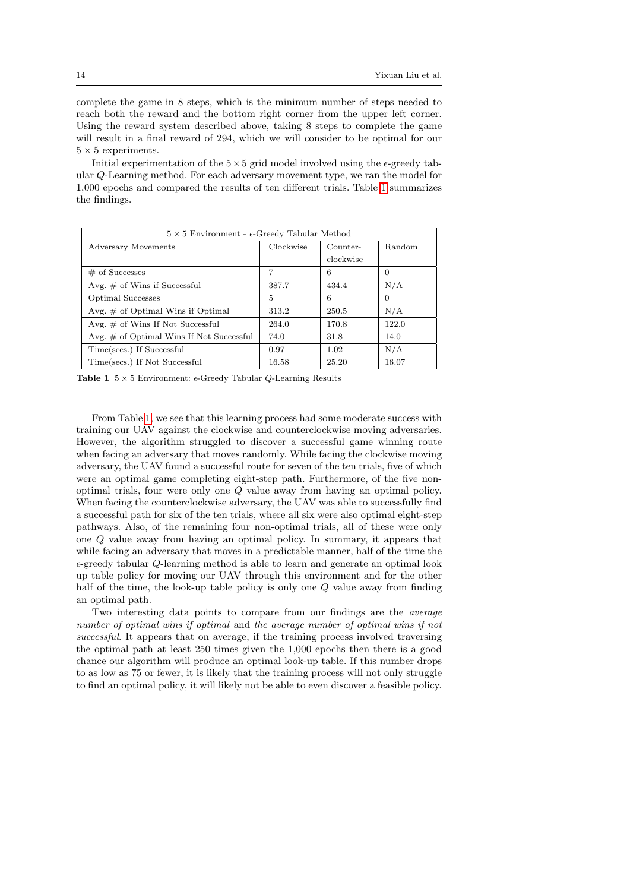complete the game in 8 steps, which is the minimum number of steps needed to reach both the reward and the bottom right corner from the upper left corner. Using the reward system described above, taking 8 steps to complete the game will result in a final reward of 294, which we will consider to be optimal for our  $5 \times 5$  experiments.

Initial experimentation of the  $5 \times 5$  grid model involved using the  $\epsilon$ -greedy tabular Q-Learning method. For each adversary movement type, we ran the model for 1,000 epochs and compared the results of ten different trials. Table [1](#page-13-0) summarizes the findings.

| $5 \times 5$ Environment - $\epsilon$ -Greedy Tabular Method |           |           |          |  |  |
|--------------------------------------------------------------|-----------|-----------|----------|--|--|
| Adversary Movements                                          | Clockwise | Counter-  | Random   |  |  |
|                                                              |           | clockwise |          |  |  |
| $\#$ of Successes                                            |           | 6         | $\Omega$ |  |  |
| Avg. $\#$ of Wins if Successful                              | 387.7     | 434.4     | N/A      |  |  |
| Optimal Successes                                            | 5         | 6         | 0        |  |  |
| Avg. $\#$ of Optimal Wins if Optimal                         | 313.2     | 250.5     | N/A      |  |  |
| Avg. $\#$ of Wins If Not Successful                          | 264.0     | 170.8     | 122.0    |  |  |
| Avg. $\#$ of Optimal Wins If Not Successful                  | 74.0      | 31.8      | 14.0     |  |  |
| Time(secs.) If Successful                                    | 0.97      | 1.02      | N/A      |  |  |
| Time(secs.) If Not Successful                                | 16.58     | 25.20     | 16.07    |  |  |

<span id="page-13-0"></span>**Table 1**  $5 \times 5$  Environment:  $\epsilon$ -Greedy Tabular Q-Learning Results

From Table [1,](#page-13-0) we see that this learning process had some moderate success with training our UAV against the clockwise and counterclockwise moving adversaries. However, the algorithm struggled to discover a successful game winning route when facing an adversary that moves randomly. While facing the clockwise moving adversary, the UAV found a successful route for seven of the ten trials, five of which were an optimal game completing eight-step path. Furthermore, of the five nonoptimal trials, four were only one Q value away from having an optimal policy. When facing the counterclockwise adversary, the UAV was able to successfully find a successful path for six of the ten trials, where all six were also optimal eight-step pathways. Also, of the remaining four non-optimal trials, all of these were only one Q value away from having an optimal policy. In summary, it appears that while facing an adversary that moves in a predictable manner, half of the time the  $\epsilon$ -greedy tabular Q-learning method is able to learn and generate an optimal look up table policy for moving our UAV through this environment and for the other half of the time, the look-up table policy is only one Q value away from finding an optimal path.

Two interesting data points to compare from our findings are the average number of optimal wins if optimal and the average number of optimal wins if not successful. It appears that on average, if the training process involved traversing the optimal path at least 250 times given the 1,000 epochs then there is a good chance our algorithm will produce an optimal look-up table. If this number drops to as low as 75 or fewer, it is likely that the training process will not only struggle to find an optimal policy, it will likely not be able to even discover a feasible policy.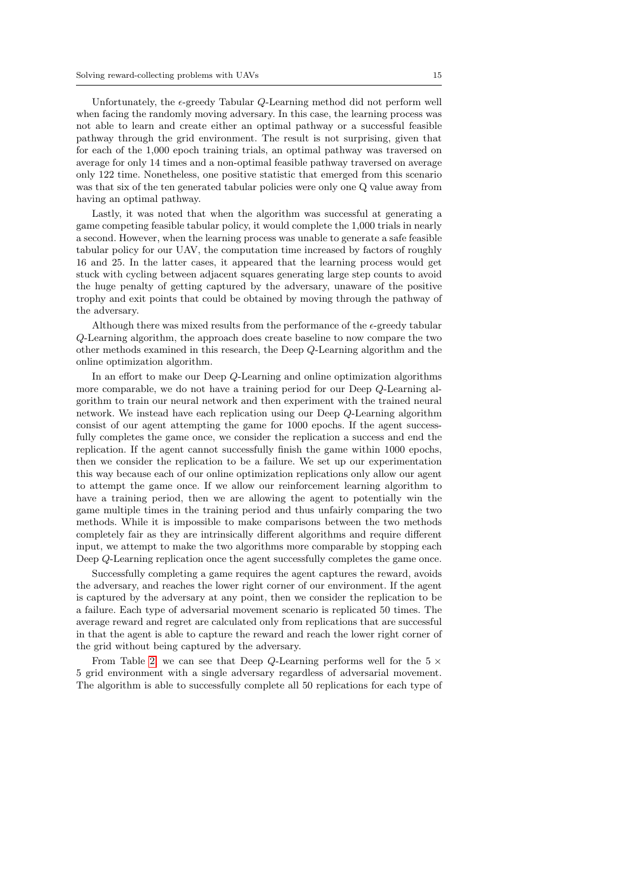Unfortunately, the  $\epsilon$ -greedy Tabular Q-Learning method did not perform well when facing the randomly moving adversary. In this case, the learning process was not able to learn and create either an optimal pathway or a successful feasible pathway through the grid environment. The result is not surprising, given that for each of the 1,000 epoch training trials, an optimal pathway was traversed on average for only 14 times and a non-optimal feasible pathway traversed on average only 122 time. Nonetheless, one positive statistic that emerged from this scenario was that six of the ten generated tabular policies were only one Q value away from having an optimal pathway.

Lastly, it was noted that when the algorithm was successful at generating a game competing feasible tabular policy, it would complete the 1,000 trials in nearly a second. However, when the learning process was unable to generate a safe feasible tabular policy for our UAV, the computation time increased by factors of roughly 16 and 25. In the latter cases, it appeared that the learning process would get stuck with cycling between adjacent squares generating large step counts to avoid the huge penalty of getting captured by the adversary, unaware of the positive trophy and exit points that could be obtained by moving through the pathway of the adversary.

Although there was mixed results from the performance of the  $\epsilon$ -greedy tabular Q-Learning algorithm, the approach does create baseline to now compare the two other methods examined in this research, the Deep Q-Learning algorithm and the online optimization algorithm.

In an effort to make our Deep Q-Learning and online optimization algorithms more comparable, we do not have a training period for our Deep Q-Learning algorithm to train our neural network and then experiment with the trained neural network. We instead have each replication using our Deep Q-Learning algorithm consist of our agent attempting the game for 1000 epochs. If the agent successfully completes the game once, we consider the replication a success and end the replication. If the agent cannot successfully finish the game within 1000 epochs, then we consider the replication to be a failure. We set up our experimentation this way because each of our online optimization replications only allow our agent to attempt the game once. If we allow our reinforcement learning algorithm to have a training period, then we are allowing the agent to potentially win the game multiple times in the training period and thus unfairly comparing the two methods. While it is impossible to make comparisons between the two methods completely fair as they are intrinsically different algorithms and require different input, we attempt to make the two algorithms more comparable by stopping each Deep Q-Learning replication once the agent successfully completes the game once.

Successfully completing a game requires the agent captures the reward, avoids the adversary, and reaches the lower right corner of our environment. If the agent is captured by the adversary at any point, then we consider the replication to be a failure. Each type of adversarial movement scenario is replicated 50 times. The average reward and regret are calculated only from replications that are successful in that the agent is able to capture the reward and reach the lower right corner of the grid without being captured by the adversary.

From Table [2,](#page-15-0) we can see that Deep Q-Learning performs well for the  $5 \times$ 5 grid environment with a single adversary regardless of adversarial movement. The algorithm is able to successfully complete all 50 replications for each type of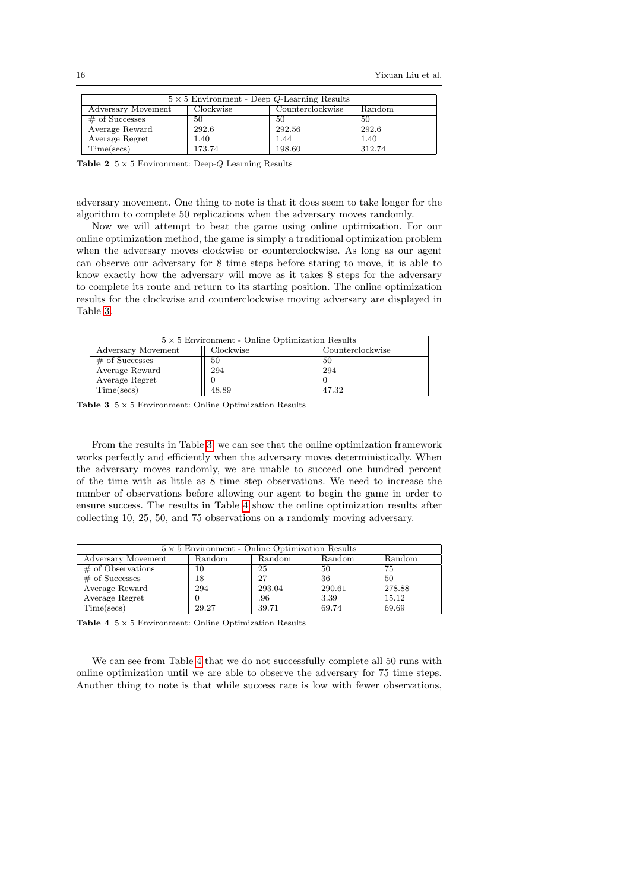| $5 \times 5$ Environment - Deep Q-Learning Results            |        |        |        |  |  |
|---------------------------------------------------------------|--------|--------|--------|--|--|
| Counterclockwise<br>Clockwise<br>Adversary Movement<br>Random |        |        |        |  |  |
| $\#$ of Successes                                             | 50     | 50     | 50     |  |  |
| Average Reward                                                | 292.6  | 292.56 | 292.6  |  |  |
| Average Regret                                                | 1.40   | 1.44   | 1.40   |  |  |
| Time(secs)                                                    | 173.74 | 198.60 | 312.74 |  |  |

<span id="page-15-0"></span>Table 2  $5 \times 5$  Environment: Deep-Q Learning Results

adversary movement. One thing to note is that it does seem to take longer for the algorithm to complete 50 replications when the adversary moves randomly.

Now we will attempt to beat the game using online optimization. For our online optimization method, the game is simply a traditional optimization problem when the adversary moves clockwise or counterclockwise. As long as our agent can observe our adversary for 8 time steps before staring to move, it is able to know exactly how the adversary will move as it takes 8 steps for the adversary to complete its route and return to its starting position. The online optimization results for the clockwise and counterclockwise moving adversary are displayed in Table [3.](#page-15-1)

| $5 \times 5$ Environment - Online Optimization Results |       |       |  |  |
|--------------------------------------------------------|-------|-------|--|--|
| Clockwise<br>Adversary Movement<br>Counterclockwise    |       |       |  |  |
| $\#$ of Successes                                      | 50    | 50    |  |  |
| Average Reward                                         | 294   | 294   |  |  |
| Average Regret                                         |       |       |  |  |
| Time(secs)                                             | 48.89 | 47.32 |  |  |

<span id="page-15-1"></span>**Table 3**  $5 \times 5$  Environment: Online Optimization Results

From the results in Table [3,](#page-15-1) we can see that the online optimization framework works perfectly and efficiently when the adversary moves deterministically. When the adversary moves randomly, we are unable to succeed one hundred percent of the time with as little as 8 time step observations. We need to increase the number of observations before allowing our agent to begin the game in order to ensure success. The results in Table [4](#page-15-2) show the online optimization results after collecting 10, 25, 50, and 75 observations on a randomly moving adversary.

| $5 \times 5$ Environment - Online Optimization Results |        |        |        |        |  |  |
|--------------------------------------------------------|--------|--------|--------|--------|--|--|
| Adversary Movement                                     | Random | Random | Random | Random |  |  |
| $\#$ of Observations                                   | 10     | 25     | 50     | 75     |  |  |
| $#$ of Successes                                       | 18     | 27     | 36     | 50     |  |  |
| Average Reward                                         | 294    | 293.04 | 290.61 | 278.88 |  |  |
| Average Regret                                         |        | .96    | 3.39   | 15.12  |  |  |
| Time(secs)                                             | 29.27  | 39.71  | 69.74  | 69.69  |  |  |

<span id="page-15-2"></span>Table 4  $5 \times 5$  Environment: Online Optimization Results

We can see from Table [4](#page-15-2) that we do not successfully complete all 50 runs with online optimization until we are able to observe the adversary for 75 time steps. Another thing to note is that while success rate is low with fewer observations,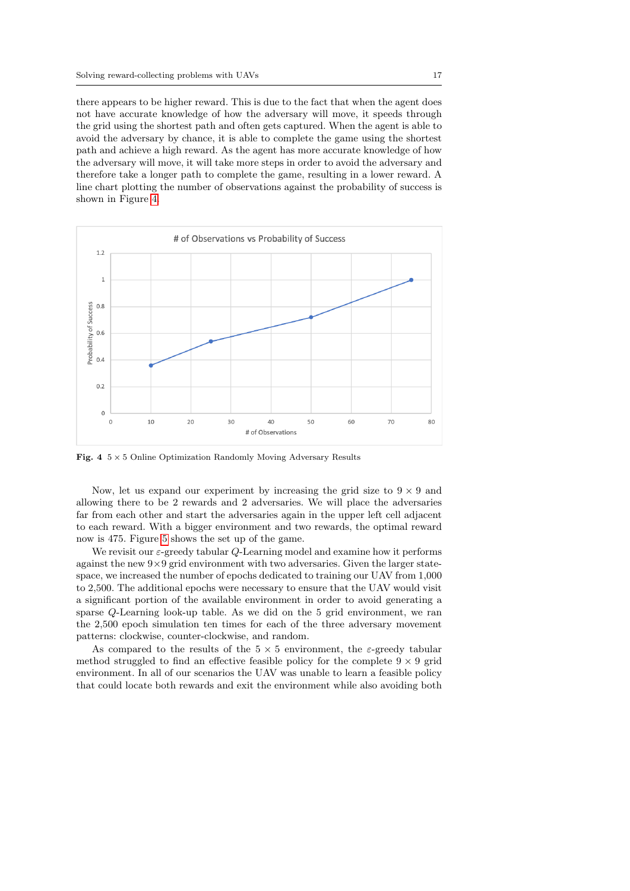there appears to be higher reward. This is due to the fact that when the agent does not have accurate knowledge of how the adversary will move, it speeds through the grid using the shortest path and often gets captured. When the agent is able to avoid the adversary by chance, it is able to complete the game using the shortest path and achieve a high reward. As the agent has more accurate knowledge of how the adversary will move, it will take more steps in order to avoid the adversary and therefore take a longer path to complete the game, resulting in a lower reward. A line chart plotting the number of observations against the probability of success is shown in Figure [4.](#page-16-0)



<span id="page-16-0"></span>Fig.  $4 \frac{5}{3} \times 5$  Online Optimization Randomly Moving Adversary Results

Now, let us expand our experiment by increasing the grid size to  $9 \times 9$  and allowing there to be 2 rewards and 2 adversaries. We will place the adversaries far from each other and start the adversaries again in the upper left cell adjacent to each reward. With a bigger environment and two rewards, the optimal reward now is 475. Figure [5](#page-17-0) shows the set up of the game.

We revisit our  $\varepsilon$ -greedy tabular  $Q$ -Learning model and examine how it performs against the new  $9\times9$  grid environment with two adversaries. Given the larger statespace, we increased the number of epochs dedicated to training our UAV from 1,000 to 2,500. The additional epochs were necessary to ensure that the UAV would visit a significant portion of the available environment in order to avoid generating a sparse Q-Learning look-up table. As we did on the 5 grid environment, we ran the 2,500 epoch simulation ten times for each of the three adversary movement patterns: clockwise, counter-clockwise, and random.

As compared to the results of the  $5 \times 5$  environment, the  $\varepsilon$ -greedy tabular method struggled to find an effective feasible policy for the complete  $9 \times 9$  grid environment. In all of our scenarios the UAV was unable to learn a feasible policy that could locate both rewards and exit the environment while also avoiding both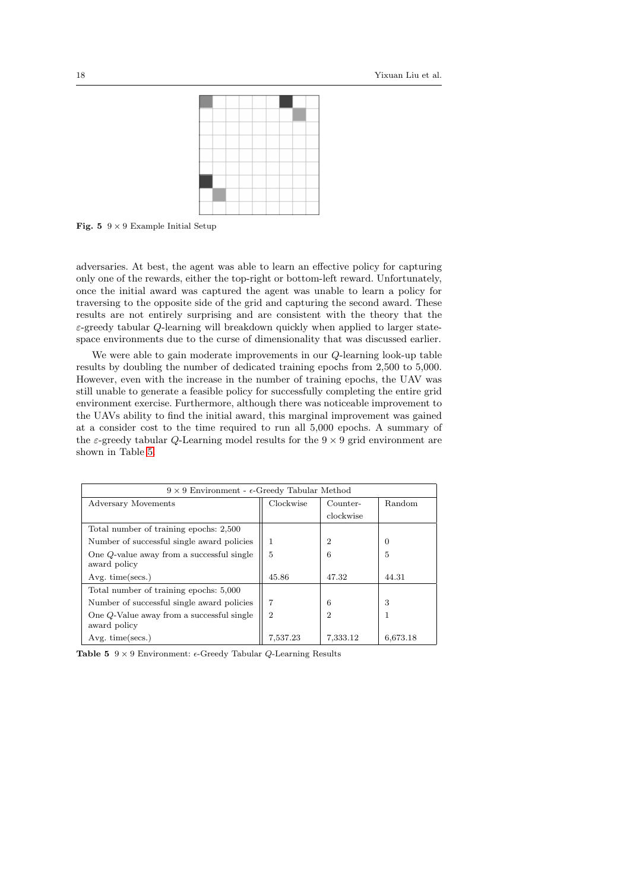

**Fig. 5**  $9 \times 9$  Example Initial Setup

<span id="page-17-0"></span>adversaries. At best, the agent was able to learn an effective policy for capturing only one of the rewards, either the top-right or bottom-left reward. Unfortunately, once the initial award was captured the agent was unable to learn a policy for traversing to the opposite side of the grid and capturing the second award. These results are not entirely surprising and are consistent with the theory that the  $\varepsilon$ -greedy tabular Q-learning will breakdown quickly when applied to larger statespace environments due to the curse of dimensionality that was discussed earlier.

We were able to gain moderate improvements in our Q-learning look-up table results by doubling the number of dedicated training epochs from 2,500 to 5,000. However, even with the increase in the number of training epochs, the UAV was still unable to generate a feasible policy for successfully completing the entire grid environment exercise. Furthermore, although there was noticeable improvement to the UAVs ability to find the initial award, this marginal improvement was gained at a consider cost to the time required to run all 5,000 epochs. A summary of the  $\varepsilon$ -greedy tabular Q-Learning model results for the  $9 \times 9$  grid environment are shown in Table [5.](#page-17-1)

| $9 \times 9$ Environment - $\epsilon$ -Greedy Tabular Method |                |                |          |  |  |
|--------------------------------------------------------------|----------------|----------------|----------|--|--|
| Adversary Movements                                          | Clockwise      | Counter-       | Random   |  |  |
|                                                              |                | clockwise      |          |  |  |
| Total number of training epochs: 2,500                       |                |                |          |  |  |
| Number of successful single award policies                   | 1              | 2              | 0        |  |  |
| One Q-value away from a successful single<br>award policy    | 5              | 6              | 5        |  |  |
| Avg. time(secs.)                                             | 45.86          | 47.32          | 44.31    |  |  |
| Total number of training epochs: 5,000                       |                |                |          |  |  |
| Number of successful single award policies                   |                | 6              | 3        |  |  |
| One $Q$ -Value away from a successful single<br>award policy | $\overline{2}$ | $\overline{2}$ |          |  |  |
| $Avg.$ time(secs.)                                           | 7,537.23       | 7,333.12       | 6,673.18 |  |  |

<span id="page-17-1"></span>**Table 5**  $9 \times 9$  Environment:  $\epsilon$ -Greedy Tabular *Q*-Learning Results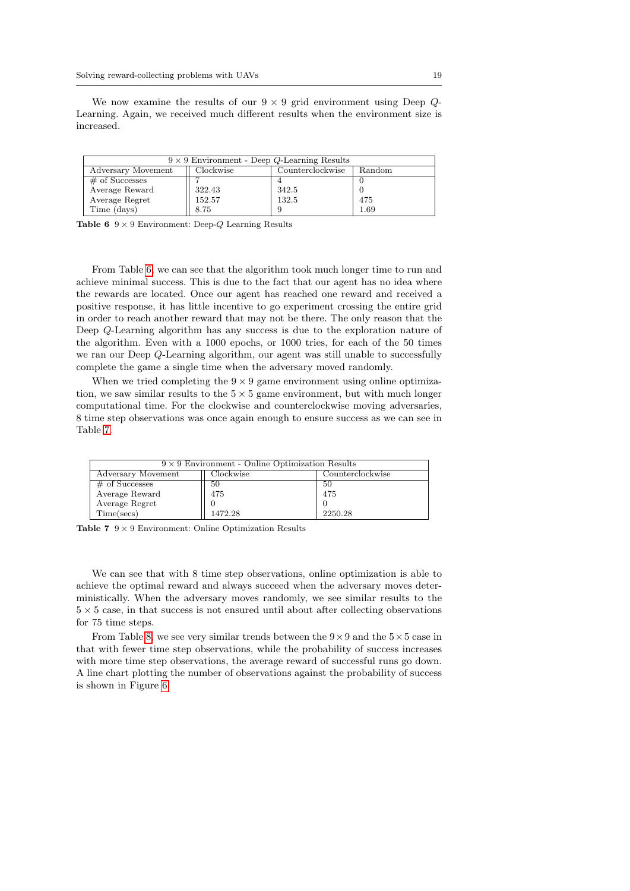We now examine the results of our  $9 \times 9$  grid environment using Deep  $Q$ -Learning. Again, we received much different results when the environment size is increased.

| $9 \times 9$ Environment - Deep Q-Learning Results            |        |       |      |  |  |  |  |
|---------------------------------------------------------------|--------|-------|------|--|--|--|--|
| Clockwise<br>Counterclockwise<br>Adversary Movement<br>Random |        |       |      |  |  |  |  |
| $\#$ of Successes                                             |        |       |      |  |  |  |  |
| Average Reward                                                | 322.43 | 342.5 |      |  |  |  |  |
| Average Regret                                                | 152.57 | 132.5 | 475  |  |  |  |  |
| Time (days)                                                   | 8.75   |       | 1.69 |  |  |  |  |

<span id="page-18-0"></span>Table 6  $9 \times 9$  Environment: Deep- $Q$  Learning Results

From Table [6,](#page-18-0) we can see that the algorithm took much longer time to run and achieve minimal success. This is due to the fact that our agent has no idea where the rewards are located. Once our agent has reached one reward and received a positive response, it has little incentive to go experiment crossing the entire grid in order to reach another reward that may not be there. The only reason that the Deep Q-Learning algorithm has any success is due to the exploration nature of the algorithm. Even with a 1000 epochs, or 1000 tries, for each of the 50 times we ran our Deep Q-Learning algorithm, our agent was still unable to successfully complete the game a single time when the adversary moved randomly.

When we tried completing the  $9 \times 9$  game environment using online optimization, we saw similar results to the  $5 \times 5$  game environment, but with much longer computational time. For the clockwise and counterclockwise moving adversaries, 8 time step observations was once again enough to ensure success as we can see in Table [7.](#page-18-1)

| $9 \times 9$ Environment - Online Optimization Results |         |         |  |  |  |
|--------------------------------------------------------|---------|---------|--|--|--|
| Counterclockwise<br>Adversary Movement<br>Clockwise    |         |         |  |  |  |
| $#$ of Successes                                       | 50      | 50      |  |  |  |
| Average Reward                                         | 475     | 475     |  |  |  |
| Average Regret                                         |         |         |  |  |  |
| Time(secs)                                             | 1472.28 | 2250.28 |  |  |  |

<span id="page-18-1"></span>Table  $7 \t9 \times 9$  Environment: Online Optimization Results

We can see that with 8 time step observations, online optimization is able to achieve the optimal reward and always succeed when the adversary moves deterministically. When the adversary moves randomly, we see similar results to the  $5 \times 5$  case, in that success is not ensured until about after collecting observations for 75 time steps.

From Table [8,](#page-19-0) we see very similar trends between the  $9 \times 9$  and the  $5 \times 5$  case in that with fewer time step observations, while the probability of success increases with more time step observations, the average reward of successful runs go down. A line chart plotting the number of observations against the probability of success is shown in Figure [6.](#page-19-1)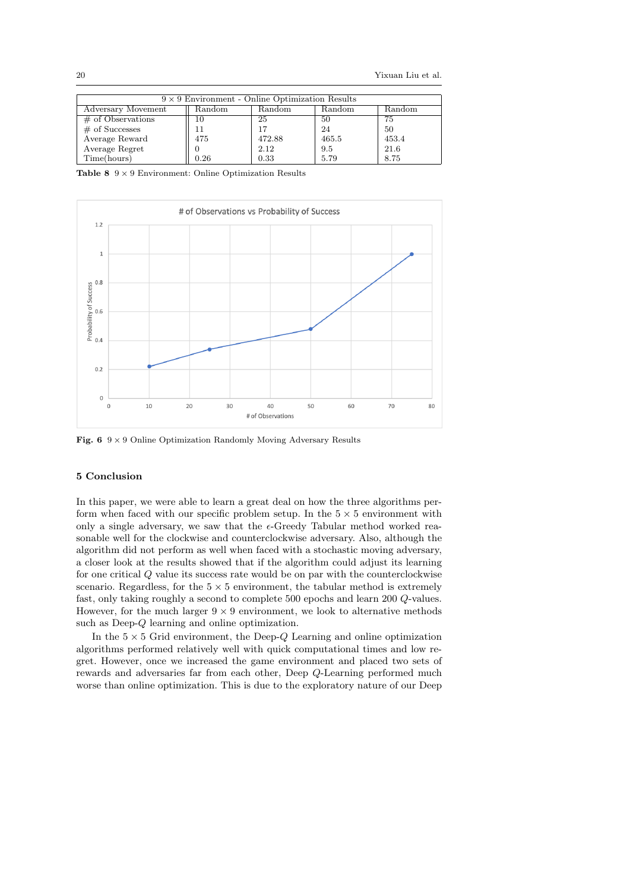| $9 \times 9$ Environment - Online Optimization Results |                          |        |        |        |  |  |
|--------------------------------------------------------|--------------------------|--------|--------|--------|--|--|
| Adversary Movement                                     | Random                   | Random | Random | Random |  |  |
| $\#$ of Observations                                   | $\mathbf{I}(\mathbf{I})$ | 25     | 50     | 75     |  |  |
| $\#$ of Successes                                      |                          | 17     | 24     | 50     |  |  |
| Average Reward                                         | 475                      | 472.88 | 465.5  | 453.4  |  |  |
| Average Regret                                         |                          | 2.12   | 9.5    | 21.6   |  |  |
| Time(hours)                                            | 0.26                     | 0.33   | 5.79   | 8.75   |  |  |

<span id="page-19-0"></span>Table 8  $9 \times 9$  Environment: Online Optimization Results



<span id="page-19-1"></span>Fig. 6  $9 \times 9$  Online Optimization Randomly Moving Adversary Results

# 5 Conclusion

In this paper, we were able to learn a great deal on how the three algorithms perform when faced with our specific problem setup. In the  $5 \times 5$  environment with only a single adversary, we saw that the  $\epsilon$ -Greedy Tabular method worked reasonable well for the clockwise and counterclockwise adversary. Also, although the algorithm did not perform as well when faced with a stochastic moving adversary, a closer look at the results showed that if the algorithm could adjust its learning for one critical Q value its success rate would be on par with the counterclockwise scenario. Regardless, for the  $5 \times 5$  environment, the tabular method is extremely fast, only taking roughly a second to complete 500 epochs and learn 200 Q-values. However, for the much larger  $9 \times 9$  environment, we look to alternative methods such as Deep-Q learning and online optimization.

In the  $5 \times 5$  Grid environment, the Deep-Q Learning and online optimization algorithms performed relatively well with quick computational times and low regret. However, once we increased the game environment and placed two sets of rewards and adversaries far from each other, Deep Q-Learning performed much worse than online optimization. This is due to the exploratory nature of our Deep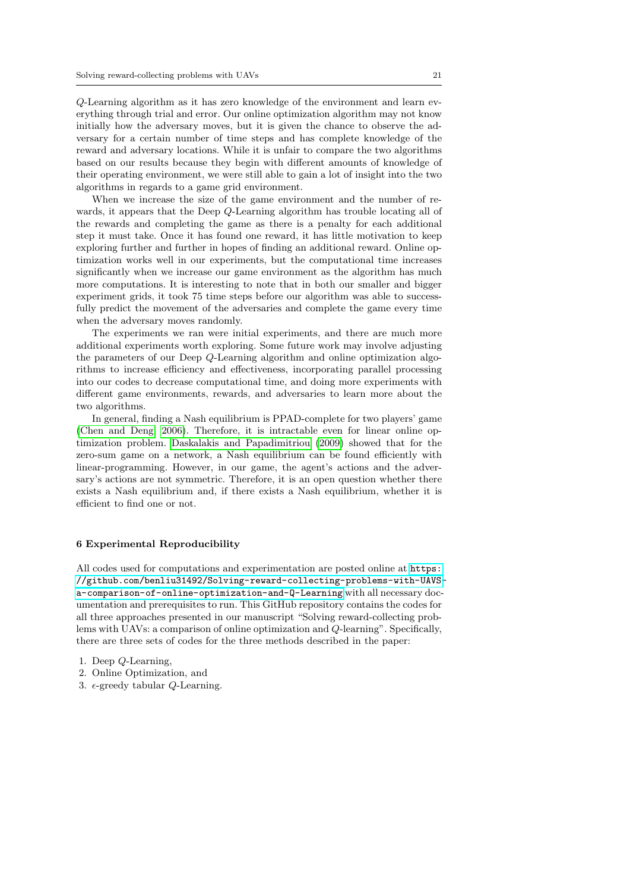Q-Learning algorithm as it has zero knowledge of the environment and learn everything through trial and error. Our online optimization algorithm may not know initially how the adversary moves, but it is given the chance to observe the adversary for a certain number of time steps and has complete knowledge of the reward and adversary locations. While it is unfair to compare the two algorithms based on our results because they begin with different amounts of knowledge of their operating environment, we were still able to gain a lot of insight into the two algorithms in regards to a game grid environment.

When we increase the size of the game environment and the number of rewards, it appears that the Deep Q-Learning algorithm has trouble locating all of the rewards and completing the game as there is a penalty for each additional step it must take. Once it has found one reward, it has little motivation to keep exploring further and further in hopes of finding an additional reward. Online optimization works well in our experiments, but the computational time increases significantly when we increase our game environment as the algorithm has much more computations. It is interesting to note that in both our smaller and bigger experiment grids, it took 75 time steps before our algorithm was able to successfully predict the movement of the adversaries and complete the game every time when the adversary moves randomly.

The experiments we ran were initial experiments, and there are much more additional experiments worth exploring. Some future work may involve adjusting the parameters of our Deep Q-Learning algorithm and online optimization algorithms to increase efficiency and effectiveness, incorporating parallel processing into our codes to decrease computational time, and doing more experiments with different game environments, rewards, and adversaries to learn more about the two algorithms.

In general, finding a Nash equilibrium is PPAD-complete for two players' game [\(Chen and Deng, 2006\)](#page-22-18). Therefore, it is intractable even for linear online optimization problem. [Daskalakis and Papadimitriou](#page-22-19) [\(2009\)](#page-22-19) showed that for the zero-sum game on a network, a Nash equilibrium can be found efficiently with linear-programming. However, in our game, the agent's actions and the adversary's actions are not symmetric. Therefore, it is an open question whether there exists a Nash equilibrium and, if there exists a Nash equilibrium, whether it is efficient to find one or not.

# <span id="page-20-0"></span>6 Experimental Reproducibility

All codes used for computations and experimentation are posted online at [https:](https://github.com/benliu31492/Solving-reward-collecting-problems-with-UAVS-a-comparison-of-online-optimization-and-Q-Learning) [//github.com/benliu31492/Solving-reward-collecting-problems-with-UAVS](https://github.com/benliu31492/Solving-reward-collecting-problems-with-UAVS-a-comparison-of-online-optimization-and-Q-Learning)[a-comparison-of-online-optimization-and-Q-Learning](https://github.com/benliu31492/Solving-reward-collecting-problems-with-UAVS-a-comparison-of-online-optimization-and-Q-Learning) with all necessary documentation and prerequisites to run. This GitHub repository contains the codes for all three approaches presented in our manuscript "Solving reward-collecting problems with UAVs: a comparison of online optimization and Q-learning". Specifically, there are three sets of codes for the three methods described in the paper:

- 1. Deep Q-Learning,
- 2. Online Optimization, and
- 3.  $\epsilon$ -greedy tabular Q-Learning.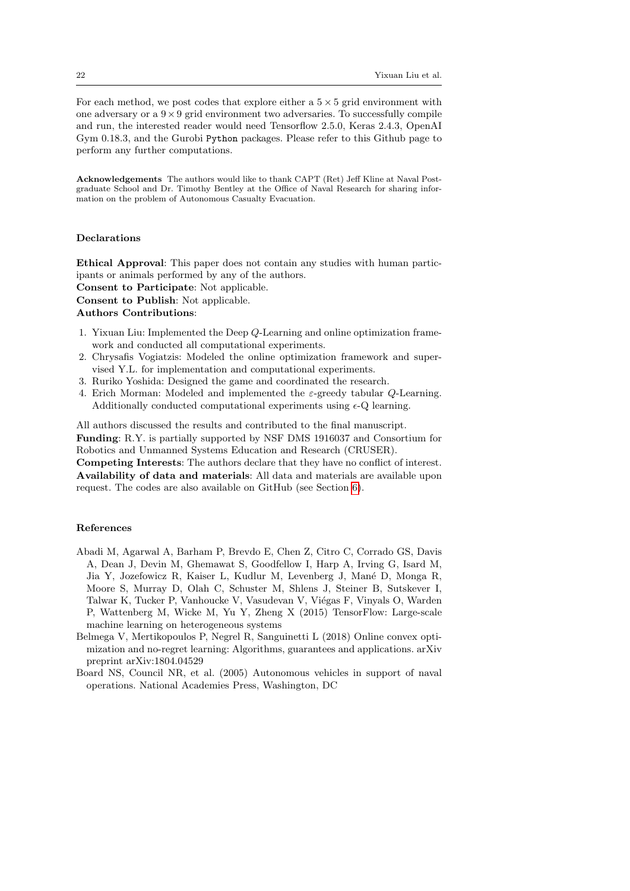For each method, we post codes that explore either a  $5 \times 5$  grid environment with one adversary or a  $9 \times 9$  grid environment two adversaries. To successfully compile and run, the interested reader would need Tensorflow 2.5.0, Keras 2.4.3, OpenAI Gym 0.18.3, and the Gurobi Python packages. Please refer to this Github page to perform any further computations.

Acknowledgements The authors would like to thank CAPT (Ret) Jeff Kline at Naval Postgraduate School and Dr. Timothy Bentley at the Office of Naval Research for sharing information on the problem of Autonomous Casualty Evacuation.

## Declarations

Ethical Approval: This paper does not contain any studies with human participants or animals performed by any of the authors. Consent to Participate: Not applicable.

Consent to Publish: Not applicable.

Authors Contributions:

- 1. Yixuan Liu: Implemented the Deep Q-Learning and online optimization framework and conducted all computational experiments.
- 2. Chrysafis Vogiatzis: Modeled the online optimization framework and supervised Y.L. for implementation and computational experiments.
- 3. Ruriko Yoshida: Designed the game and coordinated the research.
- 4. Erich Morman: Modeled and implemented the  $\varepsilon$ -greedy tabular Q-Learning. Additionally conducted computational experiments using  $\epsilon$ -Q learning.

All authors discussed the results and contributed to the final manuscript. Funding: R.Y. is partially supported by NSF DMS 1916037 and Consortium for Robotics and Unmanned Systems Education and Research (CRUSER).

Competing Interests: The authors declare that they have no conflict of interest. Availability of data and materials: All data and materials are available upon request. The codes are also available on GitHub (see Section [6\)](#page-20-0).

## References

- <span id="page-21-1"></span>Abadi M, Agarwal A, Barham P, Brevdo E, Chen Z, Citro C, Corrado GS, Davis A, Dean J, Devin M, Ghemawat S, Goodfellow I, Harp A, Irving G, Isard M, Jia Y, Jozefowicz R, Kaiser L, Kudlur M, Levenberg J, Mané D, Monga R, Moore S, Murray D, Olah C, Schuster M, Shlens J, Steiner B, Sutskever I, Talwar K, Tucker P, Vanhoucke V, Vasudevan V, Viégas F, Vinyals O, Warden P, Wattenberg M, Wicke M, Yu Y, Zheng X (2015) TensorFlow: Large-scale machine learning on heterogeneous systems
- <span id="page-21-2"></span>Belmega V, Mertikopoulos P, Negrel R, Sanguinetti L (2018) Online convex optimization and no-regret learning: Algorithms, guarantees and applications. arXiv preprint arXiv:1804.04529
- <span id="page-21-0"></span>Board NS, Council NR, et al. (2005) Autonomous vehicles in support of naval operations. National Academies Press, Washington, DC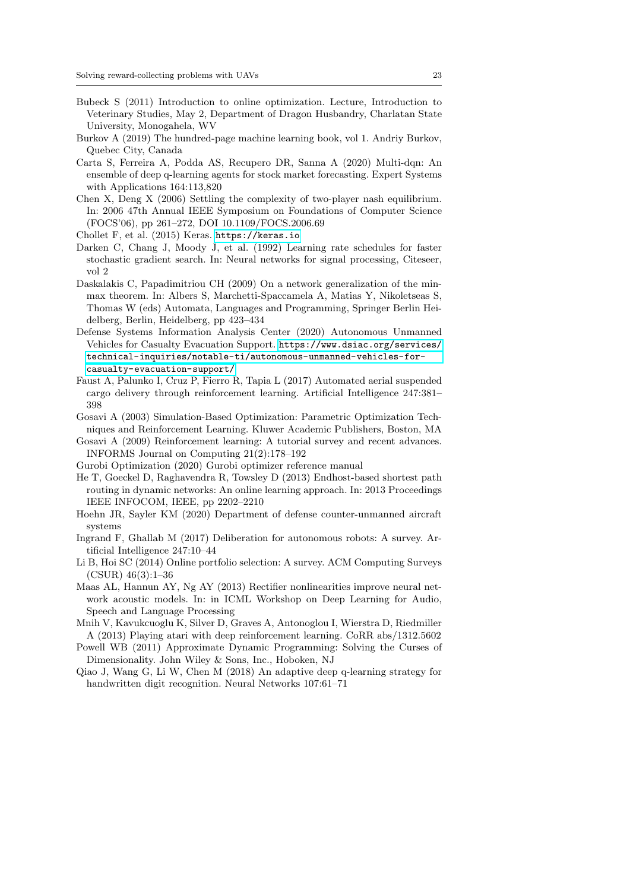- <span id="page-22-11"></span>Bubeck S (2011) Introduction to online optimization. Lecture, Introduction to Veterinary Studies, May 2, Department of Dragon Husbandry, Charlatan State University, Monogahela, WV
- <span id="page-22-5"></span>Burkov A (2019) The hundred-page machine learning book, vol 1. Andriy Burkov, Quebec City, Canada
- <span id="page-22-9"></span>Carta S, Ferreira A, Podda AS, Recupero DR, Sanna A (2020) Multi-dqn: An ensemble of deep q-learning agents for stock market forecasting. Expert Systems with Applications 164:113,820
- <span id="page-22-18"></span>Chen X, Deng X (2006) Settling the complexity of two-player nash equilibrium. In: 2006 47th Annual IEEE Symposium on Foundations of Computer Science (FOCS'06), pp 261–272, DOI 10.1109/FOCS.2006.69
- <span id="page-22-3"></span>Chollet F, et al. (2015) Keras. <https://keras.io>
- <span id="page-22-14"></span>Darken C, Chang J, Moody J, et al. (1992) Learning rate schedules for faster stochastic gradient search. In: Neural networks for signal processing, Citeseer, vol 2
- <span id="page-22-19"></span>Daskalakis C, Papadimitriou CH (2009) On a network generalization of the minmax theorem. In: Albers S, Marchetti-Spaccamela A, Matias Y, Nikoletseas S, Thomas W (eds) Automata, Languages and Programming, Springer Berlin Heidelberg, Berlin, Heidelberg, pp 423–434
- <span id="page-22-4"></span>Defense Systems Information Analysis Center (2020) Autonomous Unmanned Vehicles for Casualty Evacuation Support. [https://www.dsiac.org/services/](https://www.dsiac.org/services/technical-inquiries/notable-ti/autonomous-unmanned-vehicles-for-casualty-evacuation-support/) [technical-inquiries/notable-ti/autonomous-unmanned-vehicles-for](https://www.dsiac.org/services/technical-inquiries/notable-ti/autonomous-unmanned-vehicles-for-casualty-evacuation-support/)[casualty-evacuation-support/](https://www.dsiac.org/services/technical-inquiries/notable-ti/autonomous-unmanned-vehicles-for-casualty-evacuation-support/)
- <span id="page-22-2"></span>Faust A, Palunko I, Cruz P, Fierro R, Tapia L (2017) Automated aerial suspended cargo delivery through reinforcement learning. Artificial Intelligence 247:381– 398
- <span id="page-22-15"></span>Gosavi A (2003) Simulation-Based Optimization: Parametric Optimization Techniques and Reinforcement Learning. Kluwer Academic Publishers, Boston, MA
- <span id="page-22-6"></span>Gosavi A (2009) Reinforcement learning: A tutorial survey and recent advances. INFORMS Journal on Computing 21(2):178–192
- <span id="page-22-17"></span>Gurobi Optimization (2020) Gurobi optimizer reference manual
- <span id="page-22-12"></span>He T, Goeckel D, Raghavendra R, Towsley D (2013) Endhost-based shortest path routing in dynamic networks: An online learning approach. In: 2013 Proceedings IEEE INFOCOM, IEEE, pp 2202–2210
- <span id="page-22-0"></span>Hoehn JR, Sayler KM (2020) Department of defense counter-unmanned aircraft systems
- <span id="page-22-1"></span>Ingrand F, Ghallab M (2017) Deliberation for autonomous robots: A survey. Artificial Intelligence 247:10–44
- <span id="page-22-13"></span>Li B, Hoi SC (2014) Online portfolio selection: A survey. ACM Computing Surveys (CSUR) 46(3):1–36
- <span id="page-22-16"></span>Maas AL, Hannun AY, Ng AY (2013) Rectifier nonlinearities improve neural network acoustic models. In: in ICML Workshop on Deep Learning for Audio, Speech and Language Processing
- <span id="page-22-8"></span>Mnih V, Kavukcuoglu K, Silver D, Graves A, Antonoglou I, Wierstra D, Riedmiller A (2013) Playing atari with deep reinforcement learning. CoRR abs/1312.5602
- <span id="page-22-7"></span>Powell WB (2011) Approximate Dynamic Programming: Solving the Curses of Dimensionality. John Wiley & Sons, Inc., Hoboken, NJ
- <span id="page-22-10"></span>Qiao J, Wang G, Li W, Chen M (2018) An adaptive deep q-learning strategy for handwritten digit recognition. Neural Networks 107:61–71